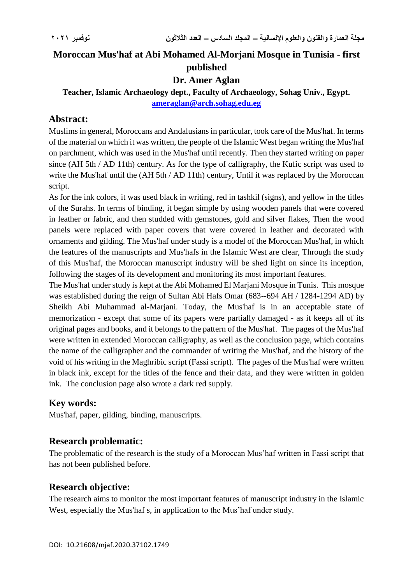# **Moroccan Mus'haf at Abi Mohamed Al-Morjani Mosque in Tunisia - first published**

### **Dr. Amer Aglan**

### **Teacher, Islamic Archaeology dept., Faculty of Archaeology, Sohag Univ., Egypt. [ameraglan@arch.sohag.edu.eg](mailto:ameraglan@arch.sohag.edu.eg)**

### **Abstract:**

Muslims in general, Moroccans and Andalusians in particular, took care of the Mus'haf. In terms of the material on which it was written, the people of the Islamic West began writing the Mus'haf on parchment, which was used in the Mus'haf until recently. Then they started writing on paper since (AH 5th / AD 11th) century. As for the type of calligraphy, the Kufic script was used to write the Mus'haf until the (AH 5th / AD 11th) century, Until it was replaced by the Moroccan script.

As for the ink colors, it was used black in writing, red in tashkil (signs), and yellow in the titles of the Surahs. In terms of binding, it began simple by using wooden panels that were covered in leather or fabric, and then studded with gemstones, gold and silver flakes, Then the wood panels were replaced with paper covers that were covered in leather and decorated with ornaments and gilding. The Mus'haf under study is a model of the Moroccan Mus'haf, in which the features of the manuscripts and Mus'hafs in the Islamic West are clear, Through the study of this Mus'haf, the Moroccan manuscript industry will be shed light on since its inception, following the stages of its development and monitoring its most important features.

The Mus'haf under study is kept at the Abi Mohamed El Marjani Mosque in Tunis. This mosque was established during the reign of Sultan Abi Hafs Omar (683--694 AH / 1284-1294 AD) by Sheikh Abi Muhammad al-Marjani. Today, the Mus'haf is in an acceptable state of memorization - except that some of its papers were partially damaged - as it keeps all of its original pages and books, and it belongs to the pattern of the Mus'haf. The pages of the Mus'haf were written in extended Moroccan calligraphy, as well as the conclusion page, which contains the name of the calligrapher and the commander of writing the Mus'haf, and the history of the void of his writing in the Maghribic script (Fassi script). The pages of the Mus'haf were written in black ink, except for the titles of the fence and their data, and they were written in golden ink. The conclusion page also wrote a dark red supply.

# **Key words:**

Mus'haf, paper, gilding, binding, manuscripts.

#### **Research problematic:**

The problematic of the research is the study of a Moroccan Mus'haf written in Fassi script that has not been published before.

#### **Research objective:**

The research aims to monitor the most important features of manuscript industry in the Islamic West, especially the Mus'haf s, in application to the Mus'haf under study.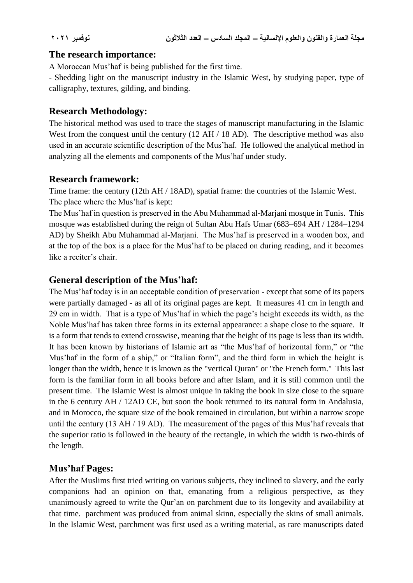#### **The research importance:**

A Moroccan Mus'haf is being published for the first time.

- Shedding light on the manuscript industry in the Islamic West, by studying paper, type of calligraphy, textures, gilding, and binding.

### **Research Methodology:**

The historical method was used to trace the stages of manuscript manufacturing in the Islamic West from the conquest until the century (12 AH / 18 AD). The descriptive method was also used in an accurate scientific description of the Mus'haf. He followed the analytical method in analyzing all the elements and components of the Mus'haf under study.

# **Research framework:**

Time frame: the century (12th AH / 18AD), spatial frame: the countries of the Islamic West. The place where the Mus'haf is kept:

The Mus'haf in question is preserved in the Abu Muhammad al-Marjani mosque in Tunis. This mosque was established during the reign of Sultan Abu Hafs Umar (683–694 AH / 1284–1294 AD) by Sheikh Abu Muhammad al-Marjani. The Mus'haf is preserved in a wooden box, and at the top of the box is a place for the Mus'haf to be placed on during reading, and it becomes like a reciter's chair.

# **General description of the Mus'haf:**

The Mus'haf today is in an acceptable condition of preservation - except that some of its papers were partially damaged - as all of its original pages are kept. It measures 41 cm in length and 29 cm in width. That is a type of Mus'haf in which the page's height exceeds its width, as the Noble Mus'haf has taken three forms in its external appearance: a shape close to the square. It is a form that tends to extend crosswise, meaning that the height of its page is less than its width. It has been known by historians of Islamic art as "the Mus'haf of horizontal form," or "the Mus'haf in the form of a ship," or "Italian form", and the third form in which the height is longer than the width, hence it is known as the "vertical Quran" or "the French form." This last form is the familiar form in all books before and after Islam, and it is still common until the present time. The Islamic West is almost unique in taking the book in size close to the square in the 6 century AH / 12AD CE, but soon the book returned to its natural form in Andalusia, and in Morocco, the square size of the book remained in circulation, but within a narrow scope until the century (13 AH / 19 AD). The measurement of the pages of this Mus'haf reveals that the superior ratio is followed in the beauty of the rectangle, in which the width is two-thirds of the length.

# **Mus'haf Pages:**

After the Muslims first tried writing on various subjects, they inclined to slavery, and the early companions had an opinion on that, emanating from a religious perspective, as they unanimously agreed to write the Qur'an on parchment due to its longevity and availability at that time. parchment was produced from animal skinn, especially the skins of small animals. In the Islamic West, parchment was first used as a writing material, as rare manuscripts dated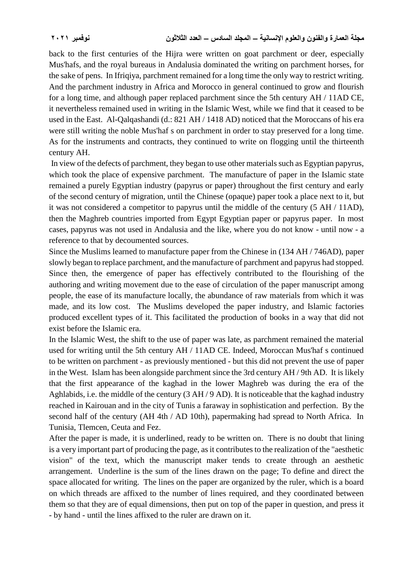back to the first centuries of the Hijra were written on goat parchment or deer, especially Mus'hafs, and the royal bureaus in Andalusia dominated the writing on parchment horses, for the sake of pens. In Ifriqiya, parchment remained for a long time the only way to restrict writing. And the parchment industry in Africa and Morocco in general continued to grow and flourish for a long time, and although paper replaced parchment since the 5th century AH / 11AD CE, it nevertheless remained used in writing in the Islamic West, while we find that it ceased to be used in the East. Al-Qalqashandi (d.: 821 AH / 1418 AD) noticed that the Moroccans of his era were still writing the noble Mus'haf s on parchment in order to stay preserved for a long time. As for the instruments and contracts, they continued to write on flogging until the thirteenth century AH.

In view of the defects of parchment, they began to use other materials such as Egyptian papyrus, which took the place of expensive parchment. The manufacture of paper in the Islamic state remained a purely Egyptian industry (papyrus or paper) throughout the first century and early of the second century of migration, until the Chinese (opaque) paper took a place next to it, but it was not considered a competitor to papyrus until the middle of the century (5 AH / 11AD), then the Maghreb countries imported from Egypt Egyptian paper or papyrus paper. In most cases, papyrus was not used in Andalusia and the like, where you do not know - until now - a reference to that by decoumented sources.

Since the Muslims learned to manufacture paper from the Chinese in (134 AH / 746AD), paper slowly began to replace parchment, and the manufacture of parchment and papyrus had stopped. Since then, the emergence of paper has effectively contributed to the flourishing of the authoring and writing movement due to the ease of circulation of the paper manuscript among people, the ease of its manufacture locally, the abundance of raw materials from which it was made, and its low cost. The Muslims developed the paper industry, and Islamic factories produced excellent types of it. This facilitated the production of books in a way that did not exist before the Islamic era.

In the Islamic West, the shift to the use of paper was late, as parchment remained the material used for writing until the 5th century AH / 11AD CE. Indeed, Moroccan Mus'haf s continued to be written on parchment - as previously mentioned - but this did not prevent the use of paper in the West. Islam has been alongside parchment since the 3rd century AH / 9th AD. It is likely that the first appearance of the kaghad in the lower Maghreb was during the era of the Aghlabids, i.e. the middle of the century (3 AH / 9 AD). It is noticeable that the kaghad industry reached in Kairouan and in the city of Tunis a faraway in sophistication and perfection. By the second half of the century (AH 4th / AD 10th), papermaking had spread to North Africa. In Tunisia, Tlemcen, Ceuta and Fez.

After the paper is made, it is underlined, ready to be written on. There is no doubt that lining is a very important part of producing the page, as it contributes to the realization of the "aesthetic vision" of the text, which the manuscript maker tends to create through an aesthetic arrangement. Underline is the sum of the lines drawn on the page; To define and direct the space allocated for writing. The lines on the paper are organized by the ruler, which is a board on which threads are affixed to the number of lines required, and they coordinated between them so that they are of equal dimensions, then put on top of the paper in question, and press it - by hand - until the lines affixed to the ruler are drawn on it.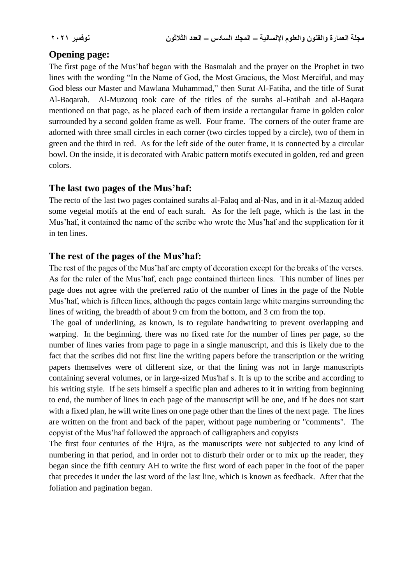# **Opening page:**

The first page of the Mus'haf began with the Basmalah and the prayer on the Prophet in two lines with the wording "In the Name of God, the Most Gracious, the Most Merciful, and may God bless our Master and Mawlana Muhammad," then Surat Al-Fatiha, and the title of Surat Al-Baqarah. Al-Muzouq took care of the titles of the surahs al-Fatihah and al-Baqara mentioned on that page, as he placed each of them inside a rectangular frame in golden color surrounded by a second golden frame as well. Four frame. The corners of the outer frame are adorned with three small circles in each corner (two circles topped by a circle), two of them in green and the third in red. As for the left side of the outer frame, it is connected by a circular bowl. On the inside, it is decorated with Arabic pattern motifs executed in golden, red and green colors.

#### **The last two pages of the Mus'haf:**

The recto of the last two pages contained surahs al-Falaq and al-Nas, and in it al-Mazuq added some vegetal motifs at the end of each surah. As for the left page, which is the last in the Mus'haf, it contained the name of the scribe who wrote the Mus'haf and the supplication for it in ten lines.

#### **The rest of the pages of the Mus'haf:**

The rest of the pages of the Mus'haf are empty of decoration except for the breaks of the verses. As for the ruler of the Mus'haf, each page contained thirteen lines. This number of lines per page does not agree with the preferred ratio of the number of lines in the page of the Noble Mus'haf, which is fifteen lines, although the pages contain large white margins surrounding the lines of writing, the breadth of about 9 cm from the bottom, and 3 cm from the top.

The goal of underlining, as known, is to regulate handwriting to prevent overlapping and warping. In the beginning, there was no fixed rate for the number of lines per page, so the number of lines varies from page to page in a single manuscript, and this is likely due to the fact that the scribes did not first line the writing papers before the transcription or the writing papers themselves were of different size, or that the lining was not in large manuscripts containing several volumes, or in large-sized Mus'haf s. It is up to the scribe and according to his writing style. If he sets himself a specific plan and adheres to it in writing from beginning to end, the number of lines in each page of the manuscript will be one, and if he does not start with a fixed plan, he will write lines on one page other than the lines of the next page. The lines are written on the front and back of the paper, without page numbering or "comments". The copyist of the Mus'haf followed the approach of calligraphers and copyists

The first four centuries of the Hijra, as the manuscripts were not subjected to any kind of numbering in that period, and in order not to disturb their order or to mix up the reader, they began since the fifth century AH to write the first word of each paper in the foot of the paper that precedes it under the last word of the last line, which is known as feedback. After that the foliation and pagination began.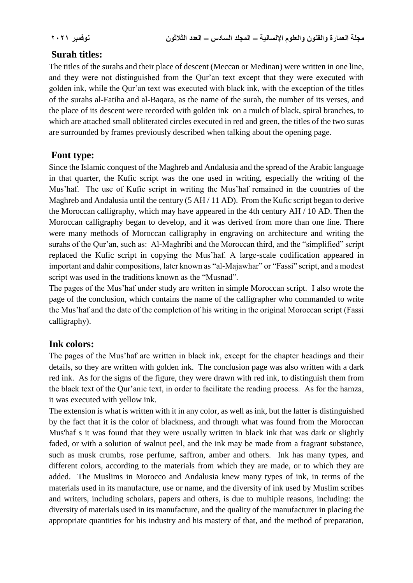# **Surah titles:**

The titles of the surahs and their place of descent (Meccan or Medinan) were written in one line, and they were not distinguished from the Qur'an text except that they were executed with golden ink, while the Qur'an text was executed with black ink, with the exception of the titles of the surahs al-Fatiha and al-Baqara, as the name of the surah, the number of its verses, and the place of its descent were recorded with golden ink on a mulch of black, spiral branches, to which are attached small obliterated circles executed in red and green, the titles of the two suras are surrounded by frames previously described when talking about the opening page.

# **Font type:**

Since the Islamic conquest of the Maghreb and Andalusia and the spread of the Arabic language in that quarter, the Kufic script was the one used in writing, especially the writing of the Mus'haf. The use of Kufic script in writing the Mus'haf remained in the countries of the Maghreb and Andalusia until the century (5 AH / 11 AD). From the Kufic script began to derive the Moroccan calligraphy, which may have appeared in the 4th century AH / 10 AD. Then the Moroccan calligraphy began to develop, and it was derived from more than one line. There were many methods of Moroccan calligraphy in engraving on architecture and writing the surahs of the Qur'an, such as: Al-Maghribi and the Moroccan third, and the "simplified" script replaced the Kufic script in copying the Mus'haf. A large-scale codification appeared in important and dahir compositions, later known as "al-Majawhar" or "Fassi" script, and a modest script was used in the traditions known as the "Musnad".

The pages of the Mus'haf under study are written in simple Moroccan script. I also wrote the page of the conclusion, which contains the name of the calligrapher who commanded to write the Mus'haf and the date of the completion of his writing in the original Moroccan script (Fassi calligraphy).

# **Ink colors:**

The pages of the Mus'haf are written in black ink, except for the chapter headings and their details, so they are written with golden ink. The conclusion page was also written with a dark red ink. As for the signs of the figure, they were drawn with red ink, to distinguish them from the black text of the Qur'anic text, in order to facilitate the reading process. As for the hamza, it was executed with yellow ink.

The extension is what is written with it in any color, as well as ink, but the latter is distinguished by the fact that it is the color of blackness, and through what was found from the Moroccan Mus'haf s it was found that they were usually written in black ink that was dark or slightly faded, or with a solution of walnut peel, and the ink may be made from a fragrant substance, such as musk crumbs, rose perfume, saffron, amber and others. Ink has many types, and different colors, according to the materials from which they are made, or to which they are added. The Muslims in Morocco and Andalusia knew many types of ink, in terms of the materials used in its manufacture, use or name, and the diversity of ink used by Muslim scribes and writers, including scholars, papers and others, is due to multiple reasons, including: the diversity of materials used in its manufacture, and the quality of the manufacturer in placing the appropriate quantities for his industry and his mastery of that, and the method of preparation,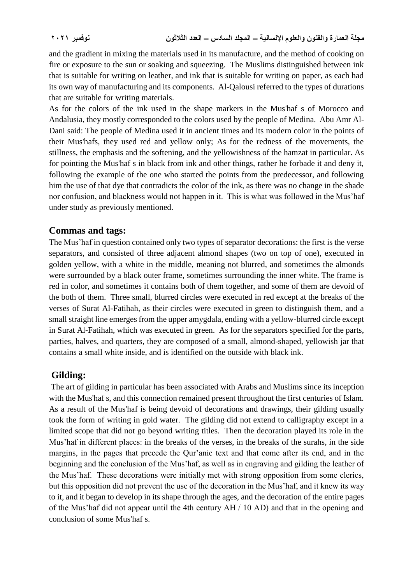and the gradient in mixing the materials used in its manufacture, and the method of cooking on fire or exposure to the sun or soaking and squeezing. The Muslims distinguished between ink that is suitable for writing on leather, and ink that is suitable for writing on paper, as each had its own way of manufacturing and its components. Al-Qalousi referred to the types of durations that are suitable for writing materials.

As for the colors of the ink used in the shape markers in the Mus'haf s of Morocco and Andalusia, they mostly corresponded to the colors used by the people of Medina. Abu Amr Al-Dani said: The people of Medina used it in ancient times and its modern color in the points of their Mus'hafs, they used red and yellow only; As for the redness of the movements, the stillness, the emphasis and the softening, and the yellowishness of the hamzat in particular. As for pointing the Mus'haf s in black from ink and other things, rather he forbade it and deny it, following the example of the one who started the points from the predecessor, and following him the use of that dye that contradicts the color of the ink, as there was no change in the shade nor confusion, and blackness would not happen in it. This is what was followed in the Mus'haf under study as previously mentioned.

#### **Commas and tags:**

The Mus'haf in question contained only two types of separator decorations: the first is the verse separators, and consisted of three adjacent almond shapes (two on top of one), executed in golden yellow, with a white in the middle, meaning not blurred, and sometimes the almonds were surrounded by a black outer frame, sometimes surrounding the inner white. The frame is red in color, and sometimes it contains both of them together, and some of them are devoid of the both of them. Three small, blurred circles were executed in red except at the breaks of the verses of Surat Al-Fatihah, as their circles were executed in green to distinguish them, and a small straight line emerges from the upper amygdala, ending with a yellow-blurred circle except in Surat Al-Fatihah, which was executed in green. As for the separators specified for the parts, parties, halves, and quarters, they are composed of a small, almond-shaped, yellowish jar that contains a small white inside, and is identified on the outside with black ink.

#### **Gilding:**

The art of gilding in particular has been associated with Arabs and Muslims since its inception with the Mus'haf s, and this connection remained present throughout the first centuries of Islam. As a result of the Mus'haf is being devoid of decorations and drawings, their gilding usually took the form of writing in gold water. The gilding did not extend to calligraphy except in a limited scope that did not go beyond writing titles. Then the decoration played its role in the Mus'haf in different places: in the breaks of the verses, in the breaks of the surahs, in the side margins, in the pages that precede the Qur'anic text and that come after its end, and in the beginning and the conclusion of the Mus'haf, as well as in engraving and gilding the leather of the Mus'haf. These decorations were initially met with strong opposition from some clerics, but this opposition did not prevent the use of the decoration in the Mus'haf, and it knew its way to it, and it began to develop in its shape through the ages, and the decoration of the entire pages of the Mus'haf did not appear until the 4th century AH / 10 AD) and that in the opening and conclusion of some Mus'haf s.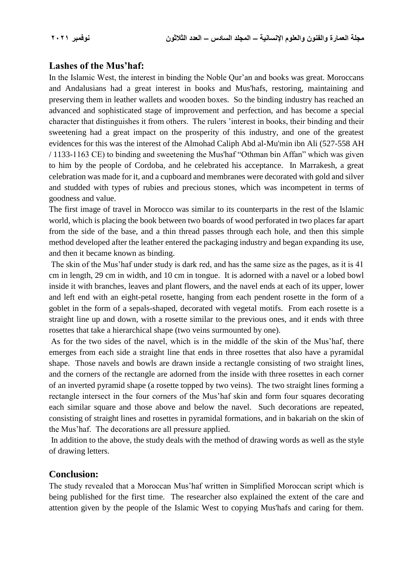#### **Lashes of the Mus'haf:**

In the Islamic West, the interest in binding the Noble Qur'an and books was great. Moroccans and Andalusians had a great interest in books and Mus'hafs, restoring, maintaining and preserving them in leather wallets and wooden boxes. So the binding industry has reached an advanced and sophisticated stage of improvement and perfection, and has become a special character that distinguishes it from others. The rulers 'interest in books, their binding and their sweetening had a great impact on the prosperity of this industry, and one of the greatest evidences for this was the interest of the Almohad Caliph Abd al-Mu'min ibn Ali (527-558 AH / 1133-1163 CE) to binding and sweetening the Mus'haf "Othman bin Affan" which was given to him by the people of Cordoba, and he celebrated his acceptance. In Marrakesh, a great celebration was made for it, and a cupboard and membranes were decorated with gold and silver and studded with types of rubies and precious stones, which was incompetent in terms of goodness and value.

The first image of travel in Morocco was similar to its counterparts in the rest of the Islamic world, which is placing the book between two boards of wood perforated in two places far apart from the side of the base, and a thin thread passes through each hole, and then this simple method developed after the leather entered the packaging industry and began expanding its use, and then it became known as binding.

The skin of the Mus'haf under study is dark red, and has the same size as the pages, as it is 41 cm in length, 29 cm in width, and 10 cm in tongue. It is adorned with a navel or a lobed bowl inside it with branches, leaves and plant flowers, and the navel ends at each of its upper, lower and left end with an eight-petal rosette, hanging from each pendent rosette in the form of a goblet in the form of a sepals-shaped, decorated with vegetal motifs. From each rosette is a straight line up and down, with a rosette similar to the previous ones, and it ends with three rosettes that take a hierarchical shape (two veins surmounted by one).

As for the two sides of the navel, which is in the middle of the skin of the Mus'haf, there emerges from each side a straight line that ends in three rosettes that also have a pyramidal shape. Those navels and bowls are drawn inside a rectangle consisting of two straight lines, and the corners of the rectangle are adorned from the inside with three rosettes in each corner of an inverted pyramid shape (a rosette topped by two veins). The two straight lines forming a rectangle intersect in the four corners of the Mus'haf skin and form four squares decorating each similar square and those above and below the navel. Such decorations are repeated, consisting of straight lines and rosettes in pyramidal formations, and in bakariah on the skin of the Mus'haf. The decorations are all pressure applied.

In addition to the above, the study deals with the method of drawing words as well as the style of drawing letters.

#### **Conclusion:**

The study revealed that a Moroccan Mus'haf written in Simplified Moroccan script which is being published for the first time. The researcher also explained the extent of the care and attention given by the people of the Islamic West to copying Mus'hafs and caring for them.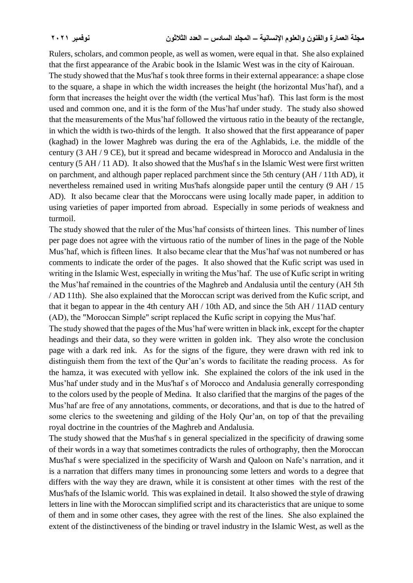Rulers, scholars, and common people, as well as women, were equal in that. She also explained that the first appearance of the Arabic book in the Islamic West was in the city of Kairouan.

The study showed that the Mus'haf s took three forms in their external appearance: a shape close to the square, a shape in which the width increases the height (the horizontal Mus'haf), and a form that increases the height over the width (the vertical Mus'haf). This last form is the most used and common one, and it is the form of the Mus'haf under study. The study also showed that the measurements of the Mus'haf followed the virtuous ratio in the beauty of the rectangle, in which the width is two-thirds of the length. It also showed that the first appearance of paper (kaghad) in the lower Maghreb was during the era of the Aghlabids, i.e. the middle of the century (3 AH / 9 CE), but it spread and became widespread in Morocco and Andalusia in the century (5 AH / 11 AD). It also showed that the Mus'haf s in the Islamic West were first written on parchment, and although paper replaced parchment since the 5th century (AH / 11th AD), it nevertheless remained used in writing Mus'hafs alongside paper until the century (9 AH / 15 AD). It also became clear that the Moroccans were using locally made paper, in addition to using varieties of paper imported from abroad. Especially in some periods of weakness and turmoil.

The study showed that the ruler of the Mus'haf consists of thirteen lines. This number of lines per page does not agree with the virtuous ratio of the number of lines in the page of the Noble Mus'haf, which is fifteen lines. It also became clear that the Mus'haf was not numbered or has comments to indicate the order of the pages. It also showed that the Kufic script was used in writing in the Islamic West, especially in writing the Mus'haf. The use of Kufic script in writing the Mus'haf remained in the countries of the Maghreb and Andalusia until the century (AH 5th / AD 11th). She also explained that the Moroccan script was derived from the Kufic script, and that it began to appear in the 4th century AH / 10th AD, and since the 5th AH / 11AD century (AD), the "Moroccan Simple" script replaced the Kufic script in copying the Mus'haf.

The study showed that the pages of the Mus'haf were written in black ink, except for the chapter headings and their data, so they were written in golden ink. They also wrote the conclusion page with a dark red ink. As for the signs of the figure, they were drawn with red ink to distinguish them from the text of the Qur'an's words to facilitate the reading process. As for the hamza, it was executed with yellow ink. She explained the colors of the ink used in the Mus'haf under study and in the Mus'haf s of Morocco and Andalusia generally corresponding to the colors used by the people of Medina. It also clarified that the margins of the pages of the Mus'haf are free of any annotations, comments, or decorations, and that is due to the hatred of some clerics to the sweetening and gilding of the Holy Qur'an, on top of that the prevailing royal doctrine in the countries of the Maghreb and Andalusia.

The study showed that the Mus'haf s in general specialized in the specificity of drawing some of their words in a way that sometimes contradicts the rules of orthography, then the Moroccan Mus'haf s were specialized in the specificity of Warsh and Qaloon on Nafe's narration, and it is a narration that differs many times in pronouncing some letters and words to a degree that differs with the way they are drawn, while it is consistent at other times with the rest of the Mus'hafs of the Islamic world. This was explained in detail. It also showed the style of drawing letters in line with the Moroccan simplified script and its characteristics that are unique to some of them and in some other cases, they agree with the rest of the lines. She also explained the extent of the distinctiveness of the binding or travel industry in the Islamic West, as well as the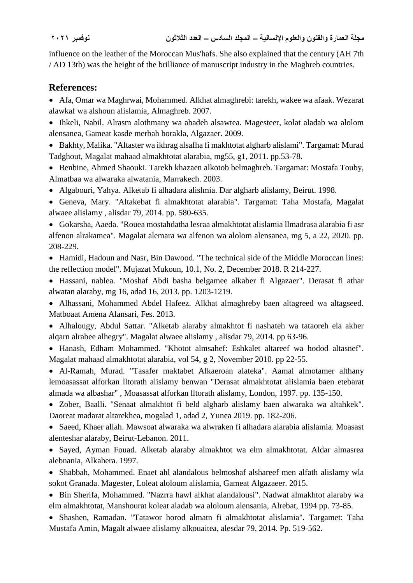influence on the leather of the Moroccan Mus'hafs. She also explained that the century (AH 7th / AD 13th) was the height of the brilliance of manuscript industry in the Maghreb countries.

#### **References:**

 Afa, Omar wa Maghrwai, Mohammed. Alkhat almaghrebi: tarekh, wakee wa afaak. Wezarat alawkaf wa alshoun alislamia, Almaghreb. 2007.

 Ihkeli, Nabil. Alrasm alothmany wa abadeh alsawtea. Magesteer, kolat aladab wa alolom alensanea, Gameat kasde merbah borakla, Algazaer. 2009.

 Bakhty, Malika. "Altaster wa ikhrag alsafha fi makhtotat algharb alislami". Targamat: Murad Tadghout, Magalat mahaad almakhtotat alarabia, mg55, g1, 2011. pp.53-78.

• Benbine, Ahmed Shaouki. Tarekh khazaen alkotob belmaghreb. Targamat: Mostafa Touby, Almatbaa wa alwaraka alwatania, Marrakech. 2003.

- Algabouri, Yahya. Alketab fi alhadara alislmia. Dar algharb alislamy, Beirut. 1998.
- Geneva, Mary. "Altakebat fi almakhtotat alarabia". Targamat: Taha Mostafa, Magalat alwaee alislamy , alisdar 79, 2014. pp. 580-635.

 Gokarsha, Aaeda. "Rouea mostahdatha lesraa almakhtotat alislamia llmadrasa alarabia fi asr alfenon alrakamea". Magalat alemara wa alfenon wa alolom alensanea, mg 5, a 22, 2020. pp. 208-229.

• Hamidi, Hadoun and Nasr, Bin Dawood. "The technical side of the Middle Moroccan lines: the reflection model". Mujazat Mukoun, 10.1, No. 2, December 2018. R 214-227.

 Hassani, nablea. "Moshaf Abdi basha belgamee alkaber fi Algazaer". Derasat fi athar alwatan alaraby, mg 16, adad 16, 2013. pp. 1203-1219.

 Alhassani, Mohammed Abdel Hafeez. Alkhat almaghreby baen altagreed wa altagseed. Matboaat Amena Alansari, Fes. 2013.

 Alhalougy, Abdul Sattar. "Alketab alaraby almakhtot fi nashateh wa tataoreh ela akher alqarn alrabee alhegry". Magalat alwaee alislamy , alisdar 79, 2014. pp 63-96.

 Hanash, Edham Mohammed. "Khotot almsahef: Eshkalet altareef wa hodod altasnef". Magalat mahaad almakhtotat alarabia, vol 54, g 2, November 2010. pp 22-55.

 Al-Ramah, Murad. "Tasafer maktabet Alkaeroan alateka". Aamal almotamer althany lemoasassat alforkan lltorath alislamy benwan "Derasat almakhtotat alislamia baen etebarat almada wa albashar" , Moasassat alforkan lltorath alislamy, London, 1997. pp. 135-150.

 Zober, Baalli. "Senaat almakhtot fi beld algharb alislamy baen alwaraka wa altahkek". Daoreat madarat altarekhea, mogalad 1, adad 2, Yunea 2019. pp. 182-206.

 Saeed, Khaer allah. Mawsoat alwaraka wa alwraken fi alhadara alarabia alislamia. Moasast alenteshar alaraby, Beirut-Lebanon. 2011.

 Sayed, Ayman Fouad. Alketab alaraby almakhtot wa elm almakhtotat. Aldar almasrea alebnania, Alkahera. 1997.

 Shabbah, Mohammed. Enaet ahl alandalous belmoshaf alshareef men alfath alislamy wla sokot Granada. Magester, Loleat aloloum alislamia, Gameat Algazaeer. 2015.

 Bin Sherifa, Mohammed. "Nazrra hawl alkhat alandalousi". Nadwat almakhtot alaraby wa elm almakhtotat, Manshourat koleat aladab wa aloloum alensania, Alrebat, 1994 pp. 73-85.

 Shashen, Ramadan. "Tatawor horod almatn fi almakhtotat alislamia". Targamet: Taha Mustafa Amin, Magalt alwaee alislamy alkouaitea, alesdar 79, 2014. Pp. 519-562.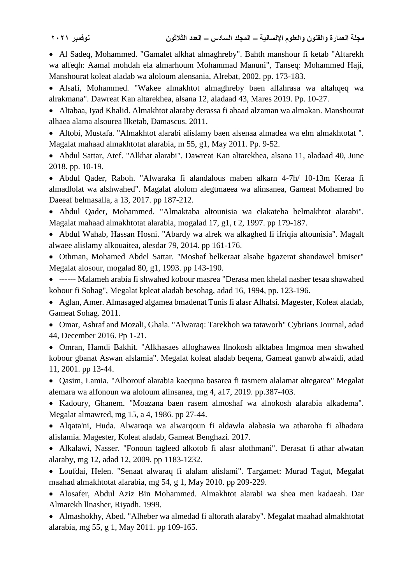Al Sadeq, Mohammed. "Gamalet alkhat almaghreby". Bahth manshour fi ketab "Altarekh wa alfeqh: Aamal mohdah ela almarhoum Mohammad Manuni", Tanseq: Mohammed Haji, Manshourat koleat aladab wa aloloum alensania, Alrebat, 2002. pp. 173-183.

 Alsafi, Mohammed. "Wakee almakhtot almaghreby baen alfahrasa wa altahqeq wa alrakmana". Dawreat Kan altarekhea, alsana 12, aladaad 43, Mares 2019. Pp. 10-27.

 Altabaa, Iyad Khalid. Almakhtot alaraby derassa fi abaad alzaman wa almakan. Manshourat alhaea alama alsourea llketab, Damascus. 2011.

 Altobi, Mustafa. "Almakhtot alarabi alislamy baen alsenaa almadea wa elm almakhtotat ". Magalat mahaad almakhtotat alarabia, m 55, g1, May 2011. Pp. 9-52.

 Abdul Sattar, Atef. "Alkhat alarabi". Dawreat Kan altarekhea, alsana 11, aladaad 40, June 2018. pp. 10-19.

 Abdul Qader, Raboh. "Alwaraka fi alandalous maben alkarn 4-7h/ 10-13m Keraa fi almadlolat wa alshwahed". Magalat alolom alegtmaeea wa alinsanea, Gameat Mohamed bo Daeeaf belmasalla, a 13, 2017. pp 187-212.

 Abdul Qader, Mohammed. "Almaktaba altounisia wa elakateha belmakhtot alarabi". Magalat mahaad almakhtotat alarabia, mogalad 17, g1, t 2, 1997. pp 179-187.

 Abdul Wahab, Hassan Hosni. "Abardy wa alrek wa alkaghed fi ifriqia altounisia". Magalt alwaee alislamy alkouaitea, alesdar 79, 2014. pp 161-176.

 Othman, Mohamed Abdel Sattar. "Moshaf belkeraat alsabe bgazerat shandawel bmiser" Megalat alosour, mogalad 80, g1, 1993. pp 143-190.

 ------ Malameh arabia fi shwahed kobour masrea "Derasa men khelal nasher tesaa shawahed kobour fi Sohag", Megalat kpleat aladab besohag, adad 16, 1994, pp. 123-196.

 Aglan, Amer. Almasaged algamea bmadenat Tunis fi alasr Alhafsi. Magester, Koleat aladab, Gameat Sohag. 2011.

 Omar, Ashraf and Mozali, Ghala. "Alwaraq: Tarekhoh wa tataworh" Cybrians Journal, adad 44, December 2016. Pp 1-21.

 Omran, Hamdi Bakhit. "Alkhasaes alloghawea llnokosh alktabea lmgmoa men shwahed kobour gbanat Aswan alslamia". Megalat koleat aladab beqena, Gameat ganwb alwaidi, adad 11, 2001. pp 13-44.

 Qasim, Lamia. "Alhorouf alarabia kaequna basarea fi tasmem alalamat altegarea" Megalat alemara wa alfonoun wa aloloum alinsanea, mg 4, a17, 2019. pp.387-403.

 Kadoury, Ghanem. "Moazana baen rasem almoshaf wa alnokosh alarabia alkadema". Megalat almawred, mg 15, a 4, 1986. pp 27-44.

 Alqata'ni, Huda. Alwaraqa wa alwarqoun fi aldawla alabasia wa atharoha fi alhadara alislamia. Magester, Koleat aladab, Gameat Benghazi. 2017.

 Alkalawi, Nasser. "Fonoun tagleed alkotob fi alasr alothmani". Derasat fi athar alwatan alaraby, mg 12, adad 12, 2009. pp 1183-1232.

 Loufdai, Helen. "Senaat alwaraq fi alalam alislami". Targamet: Murad Tagut, Megalat maahad almakhtotat alarabia, mg 54, g 1, May 2010. pp 209-229.

 Alosafer, Abdul Aziz Bin Mohammed. Almakhtot alarabi wa shea men kadaeah. Dar Almarekh llnasher, Riyadh. 1999.

 Almashokhy, Abed. "Alheber wa almedad fi altorath alaraby". Megalat maahad almakhtotat alarabia, mg 55, g 1, May 2011. pp 109-165.